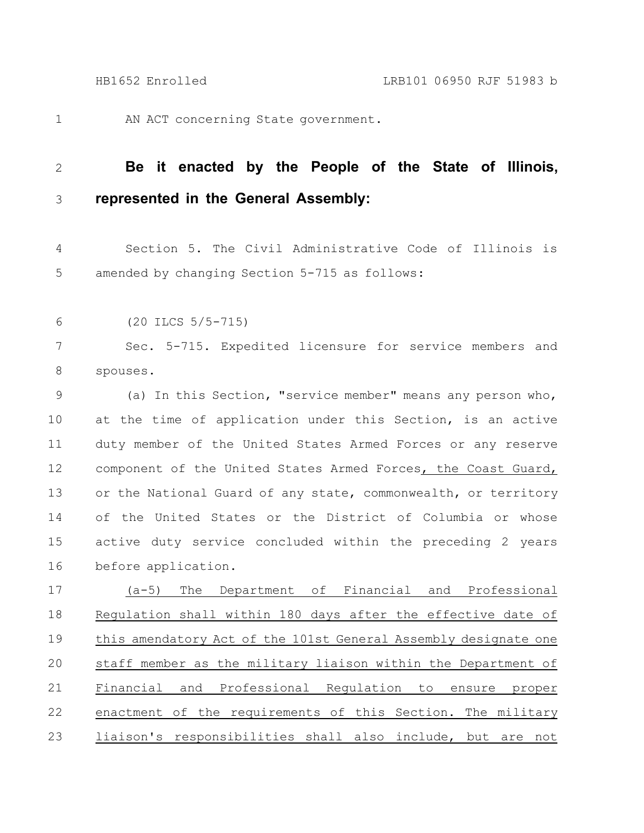1

AN ACT concerning State government.

## **Be it enacted by the People of the State of Illinois, represented in the General Assembly:** 2 3

Section 5. The Civil Administrative Code of Illinois is amended by changing Section 5-715 as follows: 4 5

(20 ILCS 5/5-715) 6

Sec. 5-715. Expedited licensure for service members and spouses. 7 8

(a) In this Section, "service member" means any person who, at the time of application under this Section, is an active duty member of the United States Armed Forces or any reserve component of the United States Armed Forces, the Coast Guard, or the National Guard of any state, commonwealth, or territory of the United States or the District of Columbia or whose active duty service concluded within the preceding 2 years before application. 9 10 11 12 13 14 15 16

(a-5) The Department of Financial and Professional Regulation shall within 180 days after the effective date of this amendatory Act of the 101st General Assembly designate one staff member as the military liaison within the Department of Financial and Professional Regulation to ensure proper enactment of the requirements of this Section. The military liaison's responsibilities shall also include, but are not 17 18 19 20 21 22 23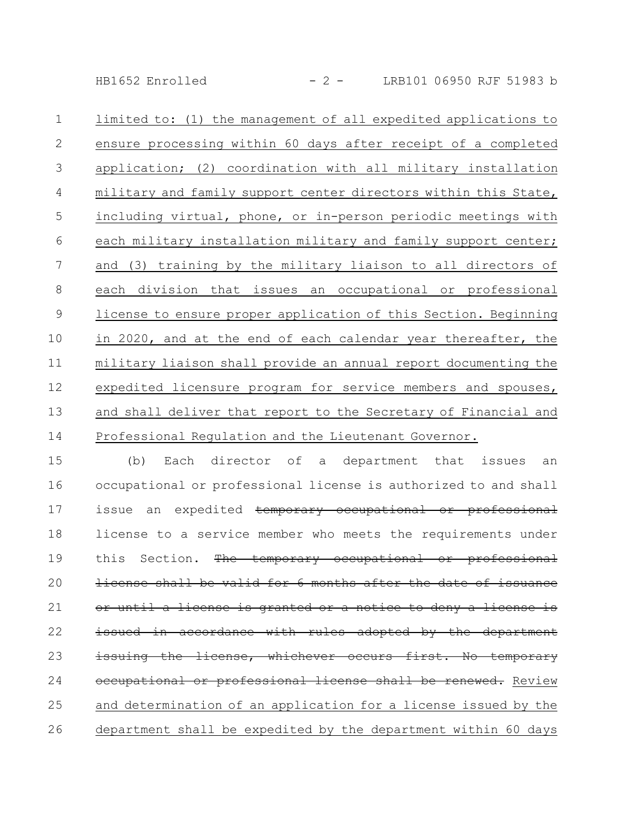HB1652 Enrolled - 2 - LRB101 06950 RJF 51983 b

limited to: (1) the management of all expedited applications to ensure processing within 60 days after receipt of a completed application; (2) coordination with all military installation military and family support center directors within this State, including virtual, phone, or in-person periodic meetings with each military installation military and family support center; and (3) training by the military liaison to all directors of each division that issues an occupational or professional license to ensure proper application of this Section. Beginning in 2020, and at the end of each calendar year thereafter, the military liaison shall provide an annual report documenting the expedited licensure program for service members and spouses, and shall deliver that report to the Secretary of Financial and Professional Regulation and the Lieutenant Governor. 1 2 3 4 5 6 7 8 9 10 11 12 13 14

(b) Each director of a department that issues an occupational or professional license is authorized to and shall issue an expedited temporary occupational or professional license to a service member who meets the requirements under this Section. The temporary occupational or professional license shall be valid for 6 months after the date until a license is granted or a notice to deny a license is issued in accordance with rules adopted by the department issuing the license, whichever occurs first. No temporary occupational or professional license shall be renewed. Review and determination of an application for a license issued by the department shall be expedited by the department within 60 days 15 16 17 18 19 20 21 22 23 24 25 26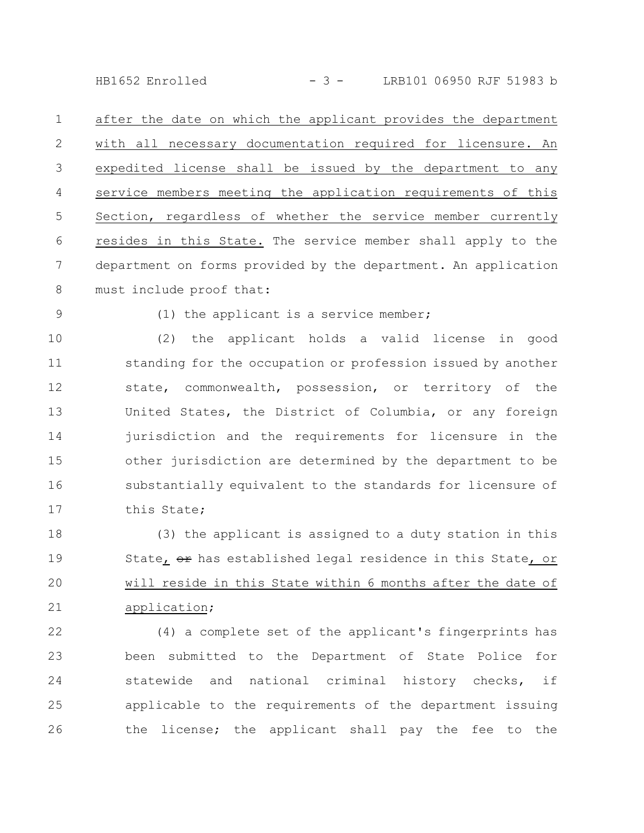HB1652 Enrolled - 3 - LRB101 06950 RJF 51983 b

after the date on which the applicant provides the department with all necessary documentation required for licensure. An expedited license shall be issued by the department to any service members meeting the application requirements of this Section, regardless of whether the service member currently resides in this State. The service member shall apply to the department on forms provided by the department. An application must include proof that: 1 2 3 4 5 6 7 8

9

(1) the applicant is a service member;

(2) the applicant holds a valid license in good standing for the occupation or profession issued by another state, commonwealth, possession, or territory of the United States, the District of Columbia, or any foreign jurisdiction and the requirements for licensure in the other jurisdiction are determined by the department to be substantially equivalent to the standards for licensure of this State; 10 11 12 13 14 15 16 17

(3) the applicant is assigned to a duty station in this State,  $\theta$  has established legal residence in this State, or will reside in this State within 6 months after the date of application; 18 19 20 21

(4) a complete set of the applicant's fingerprints has been submitted to the Department of State Police for statewide and national criminal history checks, if applicable to the requirements of the department issuing the license; the applicant shall pay the fee to the 22 23 24 25 26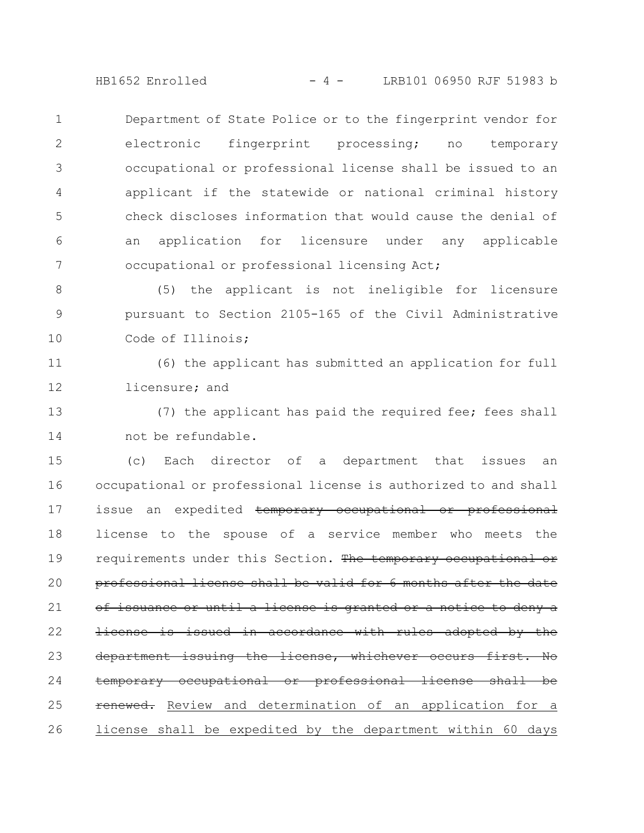HB1652 Enrolled - 4 - LRB101 06950 RJF 51983 b

Department of State Police or to the fingerprint vendor for electronic fingerprint processing; no temporary occupational or professional license shall be issued to an applicant if the statewide or national criminal history check discloses information that would cause the denial of an application for licensure under any applicable occupational or professional licensing Act; 1 2 3 4 5 6 7

(5) the applicant is not ineligible for licensure pursuant to Section 2105-165 of the Civil Administrative Code of Illinois; 8 9 10

(6) the applicant has submitted an application for full licensure; and 11 12

(7) the applicant has paid the required fee; fees shall not be refundable. 13 14

(c) Each director of a department that issues an occupational or professional license is authorized to and shall issue an expedited temporary occupational or professional license to the spouse of a service member who meets the requirements under this Section. The temporary occupational or professional license shall be valid for 6 months after the issuance or until a license is granted or a notice to deny a license is issued in accordance with rules adopted by the department issuing the license, whichever occurs first. No temporary occupational or professional license shall be renewed. Review and determination of an application for a license shall be expedited by the department within 60 days 15 16 17 18 19 20 21 22 23 24 25 26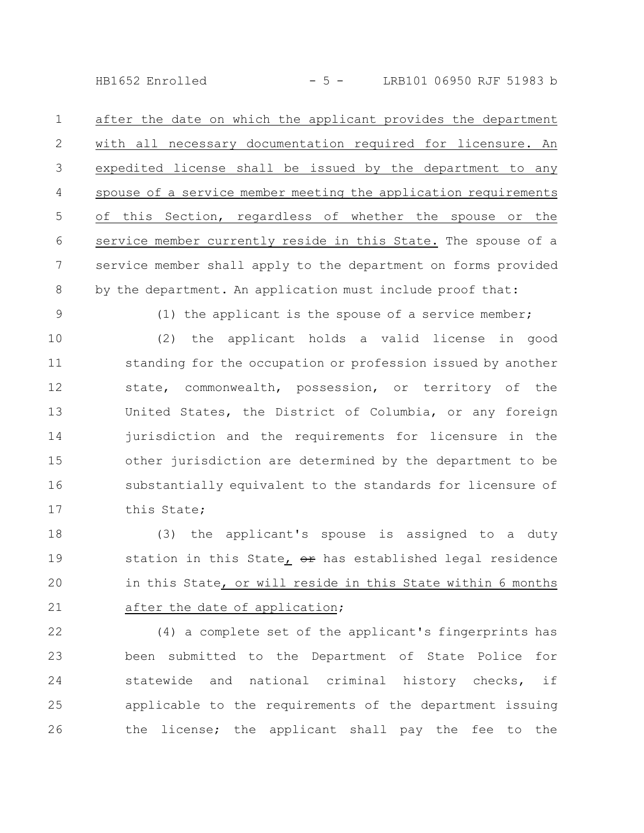HB1652 Enrolled - 5 - LRB101 06950 RJF 51983 b

after the date on which the applicant provides the department with all necessary documentation required for licensure. An expedited license shall be issued by the department to any spouse of a service member meeting the application requirements of this Section, regardless of whether the spouse or the service member currently reside in this State. The spouse of a service member shall apply to the department on forms provided by the department. An application must include proof that: 1 2 3 4 5 6 7 8

9

(1) the applicant is the spouse of a service member;

(2) the applicant holds a valid license in good standing for the occupation or profession issued by another state, commonwealth, possession, or territory of the United States, the District of Columbia, or any foreign jurisdiction and the requirements for licensure in the other jurisdiction are determined by the department to be substantially equivalent to the standards for licensure of this State; 10 11 12 13 14 15 16 17

(3) the applicant's spouse is assigned to a duty station in this State, or has established legal residence in this State, or will reside in this State within 6 months after the date of application; 18 19 20 21

(4) a complete set of the applicant's fingerprints has been submitted to the Department of State Police for statewide and national criminal history checks, if applicable to the requirements of the department issuing the license; the applicant shall pay the fee to the 22 23 24 25 26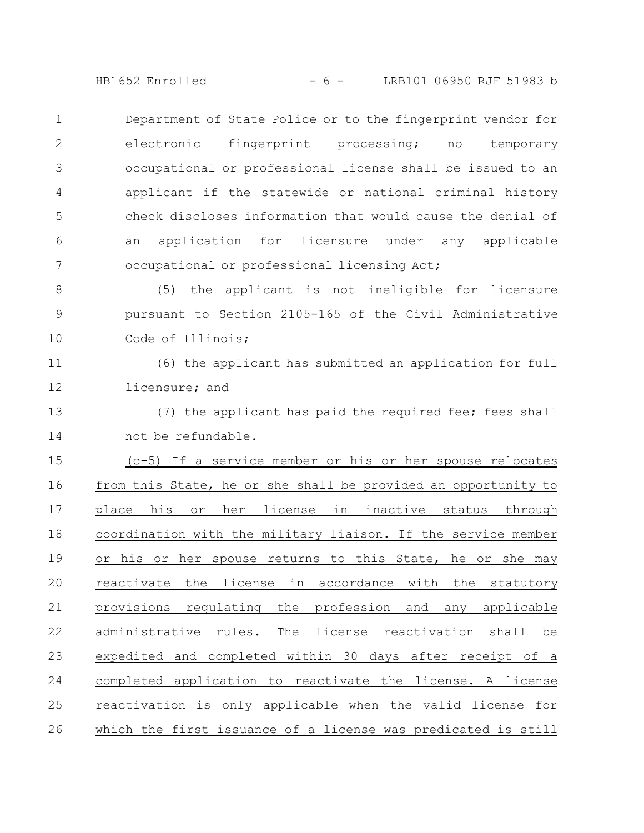HB1652 Enrolled - 6 - LRB101 06950 RJF 51983 b

Department of State Police or to the fingerprint vendor for electronic fingerprint processing; no temporary occupational or professional license shall be issued to an applicant if the statewide or national criminal history check discloses information that would cause the denial of an application for licensure under any applicable occupational or professional licensing Act; 1 2 3 4 5 6 7

(5) the applicant is not ineligible for licensure pursuant to Section 2105-165 of the Civil Administrative Code of Illinois; 8 9 10

(6) the applicant has submitted an application for full licensure; and 11 12

(7) the applicant has paid the required fee; fees shall not be refundable. 13 14

(c-5) If a service member or his or her spouse relocates from this State, he or she shall be provided an opportunity to place his or her license in inactive status through coordination with the military liaison. If the service member or his or her spouse returns to this State, he or she may reactivate the license in accordance with the statutory provisions regulating the profession and any applicable administrative rules. The license reactivation shall be expedited and completed within 30 days after receipt of a completed application to reactivate the license. A license reactivation is only applicable when the valid license for which the first issuance of a license was predicated is still 15 16 17 18 19 20 21 22 23 24 25 26